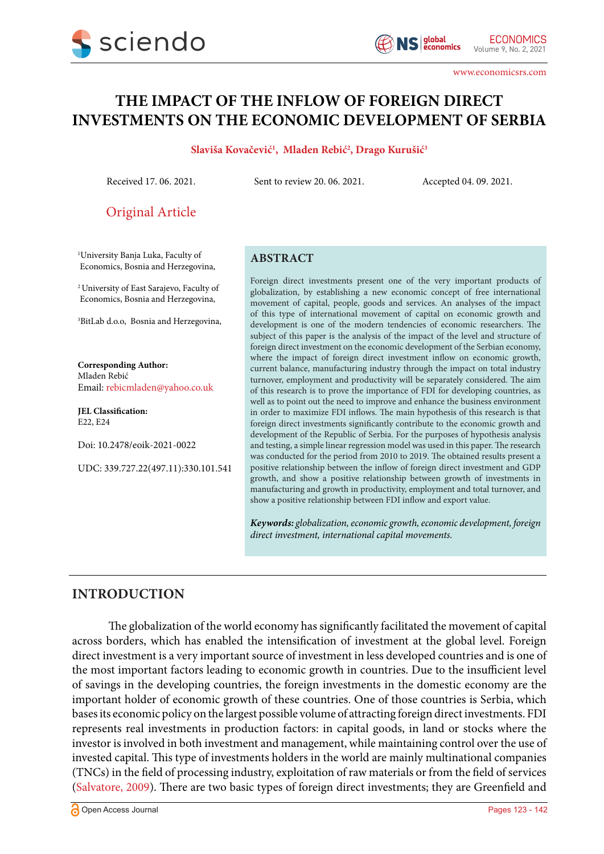

www.economicsrs.com

# **THE IMPACT OF THE INFLOW OF FOREIGN DIRECT INVESTMENTS ON THE ECONOMIC DEVELOPMENT OF SERBIA**

#### **Slaviša Kovačević1 , Mladen Rebić2 , Drago Kurušić3**

Received 17. 06. 2021. Sent to review 20. 06. 2021. Accepted 04. 09. 2021.

Original Article

1 University Banja Luka, Faculty of Economics, Bosnia and Herzegovina,

2 University of East Sarajevo, Faculty of Economics, Bosnia and Herzegovina,

3 BitLab d.o.o, Bosnia and Herzegovina,

**Corresponding Author:** Mladen Rebić Email: rebicmladen@yahoo.co.uk

**JEL Classification:** E22, E24

Doi: 10.2478/eoik-2021-0022

UDC: 339.727.22(497.11):330.101.541

#### **ABSTRACT**

Foreign direct investments present one of the very important products of globalization, by establishing a new economic concept of free international movement of capital, people, goods and services. An analyses of the impact of this type of international movement of capital on economic growth and development is one of the modern tendencies of economic researchers. The subject of this paper is the analysis of the impact of the level and structure of foreign direct investment on the economic development of the Serbian economy, where the impact of foreign direct investment inflow on economic growth, current balance, manufacturing industry through the impact on total industry turnover, employment and productivity will be separately considered. The aim of this research is to prove the importance of FDI for developing countries, as well as to point out the need to improve and enhance the business environment in order to maximize FDI inflows. The main hypothesis of this research is that foreign direct investments significantly contribute to the economic growth and development of the Republic of Serbia. For the purposes of hypothesis analysis and testing, a simple linear regression model was used in this paper. The research was conducted for the period from 2010 to 2019. The obtained results present a positive relationship between the inflow of foreign direct investment and GDP growth, and show a positive relationship between growth of investments in manufacturing and growth in productivity, employment and total turnover, and show a positive relationship between FDI inflow and export value.

*Keywords: globalization, economic growth, economic development, foreign direct investment, international capital movements.* 

# **INTRODUCTION**

The globalization of the world economy has significantly facilitated the movement of capital across borders, which has enabled the intensification of investment at the global level. Foreign direct investment is a very important source of investment in less developed countries and is one of the most important factors leading to economic growth in countries. Due to the insufficient level of savings in the developing countries, the foreign investments in the domestic economy are the important holder of economic growth of these countries. One of those countries is Serbia, which bases its economic policy on the largest possible volume of attracting foreign direct investments. FDI represents real investments in production factors: in capital goods, in land or stocks where the investor is involved in both investment and management, while maintaining control over the use of invested capital. This type of investments holders in the world are mainly multinational companies (TNCs) in the field of processing industry, exploitation of raw materials or from the field of services [\(Salvatore, 2009](#page-18-0)). There are two basic types of foreign direct investments; they are Greenfield and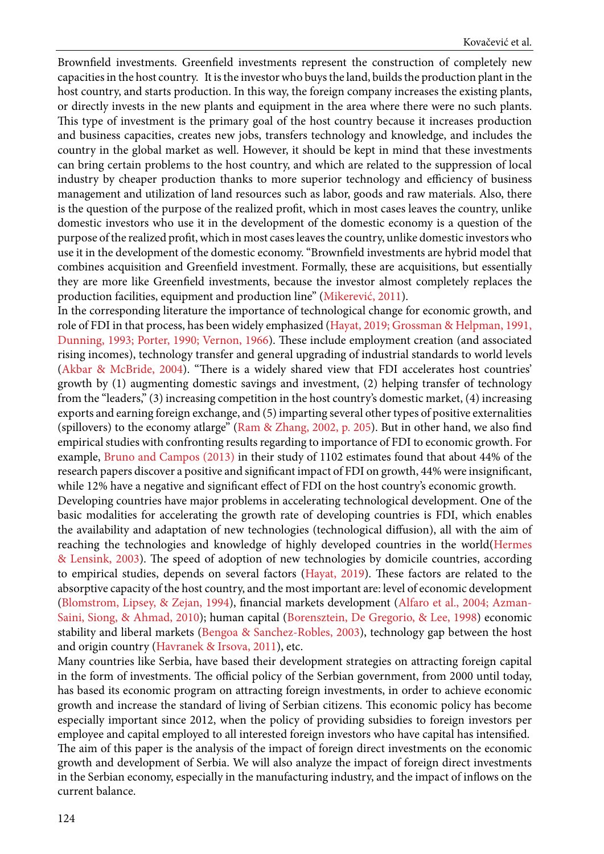Brownfield investments. Greenfield investments represent the construction of completely new capacities in the host country. It is the investor who buys the land, builds the production plant in the host country, and starts production. In this way, the foreign company increases the existing plants, or directly invests in the new plants and equipment in the area where there were no such plants. This type of investment is the primary goal of the host country because it increases production and business capacities, creates new jobs, transfers technology and knowledge, and includes the country in the global market as well. However, it should be kept in mind that these investments can bring certain problems to the host country, and which are related to the suppression of local industry by cheaper production thanks to more superior technology and efficiency of business management and utilization of land resources such as labor, goods and raw materials. Also, there is the question of the purpose of the realized profit, which in most cases leaves the country, unlike domestic investors who use it in the development of the domestic economy is a question of the purpose of the realized profit, which in most cases leaves the country, unlike domestic investors who use it in the development of the domestic economy. "Brownfield investments are hybrid model that combines acquisition and Greenfield investment. Formally, these are acquisitions, but essentially they are more like Greenfield investments, because the investor almost completely replaces the production facilities, equipment and production line" [\(Mikerević, 2011\)](#page-18-0).

In the corresponding literature the importance of technological change for economic growth, and role of FDI in that process, has been widely emphasized [\(Hayat, 2019; Grossman & Helpman, 1991,](#page-18-0) [Dunning, 1993; Porter, 1990; Vernon, 1966\)](#page-18-0). These include employment creation (and associated rising incomes), technology transfer and general upgrading of industrial standards to world levels ([Akbar & McBride, 2004](#page-18-0)). "There is a widely shared view that FDI accelerates host countries' growth by (1) augmenting domestic savings and investment, (2) helping transfer of technology from the "leaders," (3) increasing competition in the host country's domestic market, (4) increasing exports and earning foreign exchange, and (5) imparting several other types of positive externalities (spillovers) to the economy atlarge" [\(Ram & Zhang, 2002, p. 205\)](#page-18-0). But in other hand, we also find empirical studies with confronting results regarding to importance of FDI to economic growth. For example, [Bruno and Campos \(2013\)](#page-18-0) in their study of 1102 estimates found that about 44% of the research papers discover a positive and significant impact of FDI on growth, 44% were insignificant, while 12% have a negative and significant effect of FDI on the host country's economic growth.

[Developing](#page-18-0) countries have major problems in accelerating technological development. One of the basic modalities for accelerating the growth rate of developing countries is FDI, which enables the availability and adaptation of new technologies (technological diffusion), all with the aim of reaching the technologies and knowledge of highly developed countries in the world([Hermes](#page-18-0) [& Lensink, 2003](#page-18-0)). The speed of adoption of new technologies by domicile countries, according to empirical studies, depends on several factors ([Hayat, 2019](#page-18-0)). These factors are related to the absorptive capacity of the host country, and the most important are: level of economic development ([Blomstrom, Lipsey, & Zejan, 1994\)](#page-18-0), financial markets development (A[lfaro et al., 2004; Azman-](#page-18-0)[Saini, Siong, & Ahmad, 2010\)](#page-18-0); human capital [\(Borensztein, De Gregorio, & Lee, 1998](#page-18-0)) economic stability and liberal markets ([Bengoa & Sanchez-Robles, 2003\)](#page-18-0), technology gap between the host and origin country ([Havranek & Irsova, 2011\)](#page-18-0), etc.

Many countries like Serbia, have based their development strategies on attracting foreign capital in the form of investments. The official policy of the Serbian government, from 2000 until today, has based its economic program on attracting foreign investments, in order to achieve economic growth and increase the standard of living of Serbian citizens. This economic policy has become especially important since 2012, when the policy of providing subsidies to foreign investors per employee and capital employed to all interested foreign investors who have capital has intensified. The aim of this paper is the analysis of the impact of foreign direct investments on the economic growth and development of Serbia. We will also analyze the impact of foreign direct investments in the Serbian economy, especially in the manufacturing industry, and the impact of inflows on the current balance.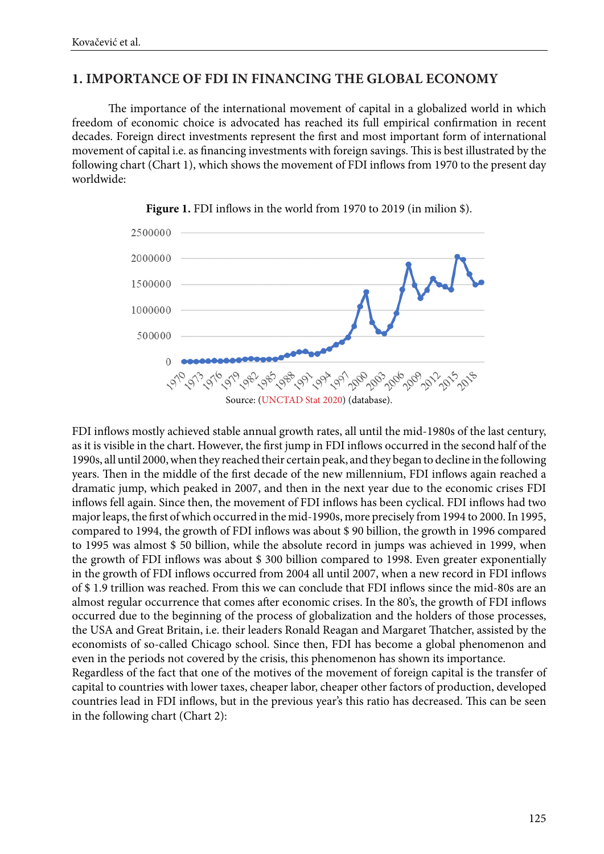# **1. IMPORTANCE OF FDI IN FINANCING THE GLOBAL ECONOMY**

The importance of the international movement of capital in a globalized world in which freedom of economic choice is advocated has reached its full empirical confirmation in recent decades. Foreign direct investments represent the first and most important form of international movement of capital i.e. as financing investments with foreign savings. This is best illustrated by the following chart (Chart 1), which shows the movement of FDI inflows from 1970 to the present day worldwide:





FDI inflows mostly achieved stable annual growth rates, all until the mid-1980s of the last century, as it is visible in the chart. However, the first jump in FDI inflows occurred in the second half of the 1990s, all until 2000, when they reached their certain peak, and they began to decline in the following years. Then in the middle of the first decade of the new millennium, FDI inflows again reached a dramatic jump, which peaked in 2007, and then in the next year due to the economic crises FDI inflows fell again. Since then, the movement of FDI inflows has been cyclical. FDI inflows had two major leaps, the first of which occurred in the mid-1990s, more precisely from 1994 to 2000. In 1995, compared to 1994, the growth of FDI inflows was about \$ 90 billion, the growth in 1996 compared to 1995 was almost \$ 50 billion, while the absolute record in jumps was achieved in 1999, when the growth of FDI inflows was about \$ 300 billion compared to 1998. Even greater exponentially in the growth of FDI inflows occurred from 2004 all until 2007, when a new record in FDI inflows of \$ 1.9 trillion was reached. From this we can conclude that FDI inflows since the mid-80s are an almost regular occurrence that comes after economic crises. In the 80's, the growth of FDI inflows occurred due to the beginning of the process of globalization and the holders of those processes, the USA and Great Britain, i.e. their leaders Ronald Reagan and Margaret Thatcher, assisted by the economists of so-called Chicago school. Since then, FDI has become a global phenomenon and even in the periods not covered by the crisis, this phenomenon has shown its importance. Regardless of the fact that one of the motives of the movement of foreign capital is the transfer of

capital to countries with lower taxes, cheaper labor, cheaper other factors of production, developed countries lead in FDI inflows, but in the previous year's this ratio has decreased. This can be seen in the following chart (Chart 2):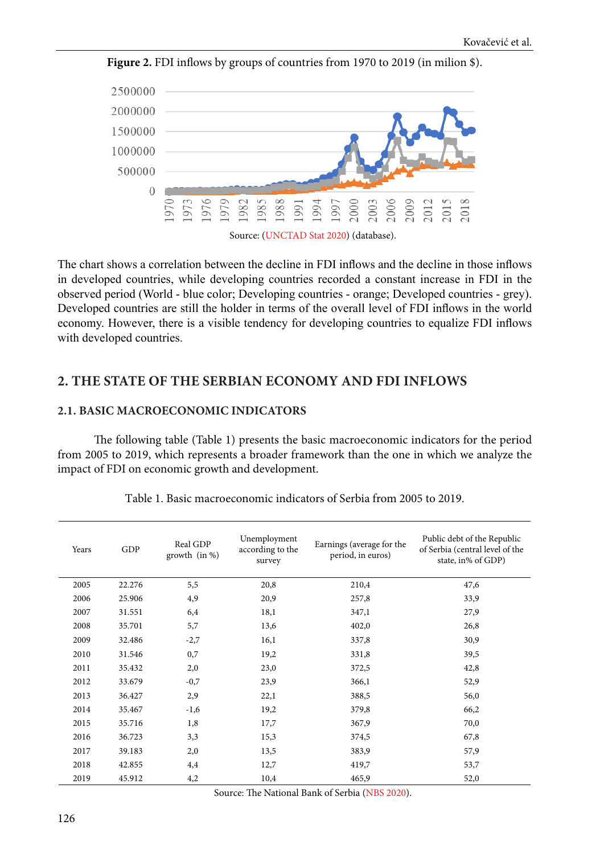

**Figure 2.** FDI inflows by groups of countries from 1970 to 2019 (in milion \$).

The chart shows a correlation between the decline in FDI inflows and the decline in those inflows in developed countries, while developing countries recorded a constant increase in FDI in the observed period (World - blue color; Developing countries - orange; Developed countries - grey). Developed countries are still the holder in terms of the overall level of FDI inflows in the world economy. However, there is a visible tendency for developing countries to equalize FDI inflows with developed countries.

# **2. THE STATE OF THE SERBIAN ECONOMY AND FDI INFLOWS**

#### **2.1. BASIC MACROECONOMIC INDICATORS**

The following table (Table 1) presents the basic macroeconomic indicators for the period from 2005 to 2019, which represents a broader framework than the one in which we analyze the impact of FDI on economic growth and development.

| Years | GDP    | Real GDP<br>growth (in %) | Unemployment<br>according to the<br>survey | Earnings (average for the<br>period, in euros) | Public debt of the Republic<br>of Serbia (central level of the<br>state, in% of GDP) |
|-------|--------|---------------------------|--------------------------------------------|------------------------------------------------|--------------------------------------------------------------------------------------|
| 2005  | 22.276 | 5,5                       | 20,8                                       | 210,4                                          | 47,6                                                                                 |
| 2006  | 25.906 | 4,9                       | 20,9                                       | 257,8                                          | 33,9                                                                                 |
| 2007  | 31.551 | 6,4                       | 18,1                                       | 347,1                                          | 27,9                                                                                 |
| 2008  | 35.701 | 5,7                       | 13,6                                       | 402,0                                          | 26,8                                                                                 |
| 2009  | 32.486 | $-2,7$                    | 16,1                                       | 337,8                                          | 30,9                                                                                 |
| 2010  | 31.546 | 0,7                       | 19,2                                       | 331,8                                          | 39,5                                                                                 |
| 2011  | 35.432 | 2,0                       | 23,0                                       | 372,5                                          | 42,8                                                                                 |
| 2012  | 33.679 | $-0,7$                    | 23,9                                       | 366,1                                          | 52,9                                                                                 |
| 2013  | 36.427 | 2,9                       | 22,1                                       | 388,5                                          | 56,0                                                                                 |
| 2014  | 35.467 | $-1,6$                    | 19,2                                       | 379,8                                          | 66,2                                                                                 |
| 2015  | 35.716 | 1,8                       | 17,7                                       | 367,9                                          | 70,0                                                                                 |
| 2016  | 36.723 | 3,3                       | 15,3                                       | 374,5                                          | 67,8                                                                                 |
| 2017  | 39.183 | 2,0                       | 13,5                                       | 383,9                                          | 57,9                                                                                 |
| 2018  | 42.855 | 4,4                       | 12,7                                       | 419,7                                          | 53,7                                                                                 |
| 2019  | 45.912 | 4,2                       | 10,4                                       | 465,9                                          | 52,0                                                                                 |

Тable 1. Basic macroeconomic indicators of Serbia from 2005 to 2019.

Source: The National Bank of Serbia ([NBS 2020](#page-18-0)).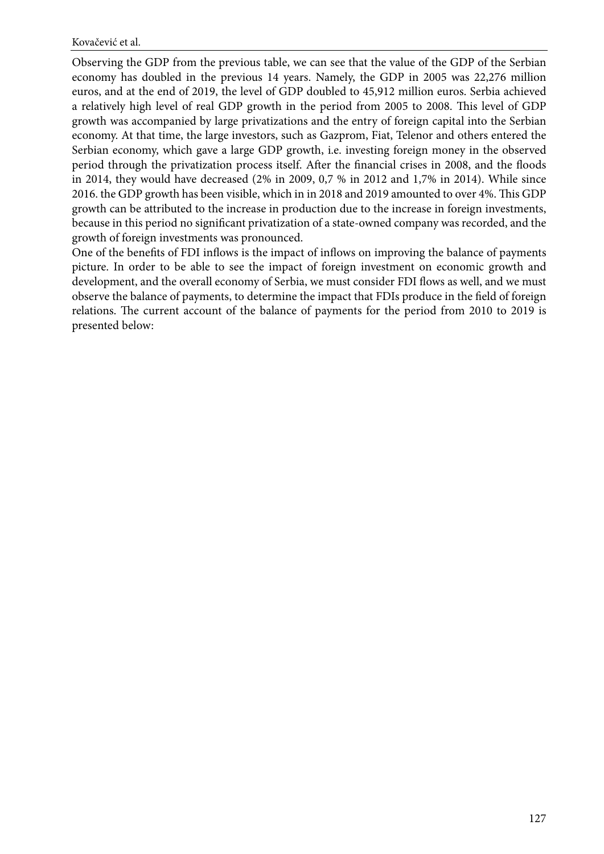Observing the GDP from the previous table, we can see that the value of the GDP of the Serbian economy has doubled in the previous 14 years. Namely, the GDP in 2005 was 22,276 million euros, and at the end of 2019, the level of GDP doubled to 45,912 million euros. Serbia achieved a relatively high level of real GDP growth in the period from 2005 to 2008. This level of GDP growth was accompanied by large privatizations and the entry of foreign capital into the Serbian economy. At that time, the large investors, such as Gazprom, Fiat, Telenor and others entered the Serbian economy, which gave a large GDP growth, i.e. investing foreign money in the observed period through the privatization process itself. After the financial crises in 2008, and the floods in 2014, they would have decreased (2% in 2009, 0,7 % in 2012 and 1,7% in 2014). While since 2016. the GDP growth has been visible, which in in 2018 and 2019 amounted to over 4%. This GDP growth can be attributed to the increase in production due to the increase in foreign investments, because in this period no significant privatization of a state-owned company was recorded, and the growth of foreign investments was pronounced.

One of the benefits of FDI inflows is the impact of inflows on improving the balance of payments picture. In order to be able to see the impact of foreign investment on economic growth and development, and the overall economy of Serbia, we must consider FDI flows as well, and we must observe the balance of payments, to determine the impact that FDIs produce in the field of foreign relations. The current account of the balance of payments for the period from 2010 to 2019 is presented below: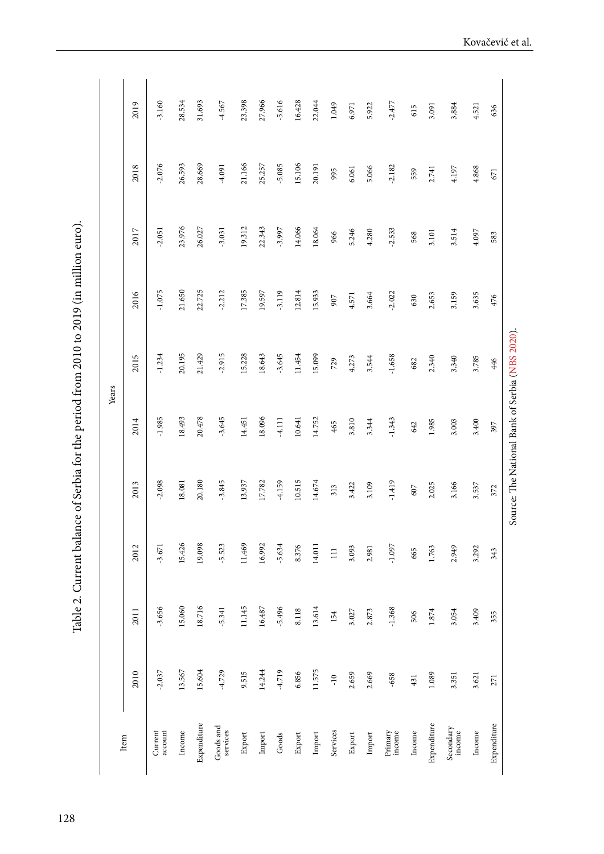Таble 2. Current balance of Serbia for the period from 2010 to 2019 (in million euro). Table 2. Current balance of Serbia for the period from 2010 to 2019 (in million euro).

2019  $-3.160$ 28.534 31.693  $-4.567$ 23.398 27.966  $-5.616$ 16.428 22.044 1.049  $-2.477$ 2010 2011 2012 2013 2014 2015 2016 2017 2018 2019 Income 13.567 15.060 15.426 18.081 18.493 20.195 21.650 23.976 26.593 28.534 Expenditure 15.604 18.725 19.098 20.478 20.478 20.478 20.478 20.478 20.478 20.478 20.693 20.609 28.669 28.669 Export 9.515 11.145 11.145 11.459 11.451 14.451 15.228 11.238 17.385 17.385 17.145 11.145 12.398 Import 14.244 16.487 16.992 17.782 18.096 18.643 19.597 22.343 25.257 27.966 Export 6.856 8.376 8.376 12.814 12.814 12.814 12.814 12.814 12.814 12.814 12.814 12.814 14.048 Import 11.575 11.575 11.614 14.674 14.674 14.674 14.674 14.674 14.674 14.674 14.674 14.674 15.752 15.933 18.064 5.922 4.521 account -2.037.<br>1.031 -2.032 -3.025 -3.030.1.1.234 -3.089.1.234 -3.085 -1.075 -2.085 -2.160.1.1.234 -2.075 -2.051 -----------services -4.729 -4.729 -4.729 -5.345 -3.845 -3.845 -3.845 -3.845 -3.845 -4.212 -4.031 -4.031 -4.091 -4.091 -4.<br>PSPS -4.729 -4.729 -4.729 -4.729 -4.729 -4.729 -4.729 -4.729 -4.729 -4.729 -4.729 -4.729 -4.729 -4.729 -4.729 Goods -4.719 -5.496 -5.634 -4.159 -4.111 -3.645 -3.119 -3.997 -5.085 -5.616 6.971 income -658 -1.368 -1.368 -1.419 -1.419 -1.419 -1.419 -1.419 -1.419 -1.419 -1.419 -1.419 -1.403 -1.403 -1.403<br>-1.243 -1.419 -1.419 -1.419 -1.419 -1.419 -1.419 -1.419 -1.419 -1.419 -1.419 -1.419 -1.419 -1.419 -1.419 -1.4 3.091 3.884 Services -10 154 111 313 465 729 907 966 995 1.049 Export 2.659 3.027 3.422 3.310 3.810 3.422 3.422 4.571 4.571 5.246 5.246 6.061 Import 2.873 2.873 2.873 2.981 3.544 3.544 3.544 3.544 3.664 4.280 5.066 615 Expenditure 1.089 1.089 1.874 1.874 2.340 2.995 1.985 2.025 2.025 2.034 3.101 2.101 3.101 3.101 3.101 3.101 3. income 3.351 3.054 2.949 3.166 3.003 3.340 3.159 3.514 4.197 3.884 Income 3.621 3.409 3.292 3.537 3.400 3.785 3.635 4.097 4.868 4.521 636 Income 431 506 665 607 642 682 630 568 559 615 Expenditure 271 355 343 372 397 446 476 583 671 636 2018 26.593 28.669 21.166 25.257 15.106  $-2.076$  $-5.085$ 20.191  $-2.182$  $-4.091$ 5.066 4.197 4.868 995 6.061 2.741 559 671 23.976 19.312 22.343 2017 26.027 14.066 18.064  $-2.051$  $-3.031$  $-3.997$ 5.246  $-2.533$ 4.280 3.101 3.514 4.097 966 568 583 21.650 22.725  $-2.212$ 17.385  $-3.119$ 12.814 2016  $-1.075$ 19.597 15.933  $-2.022$ 3.159 3.635 4.571 3.664 2.653  $476$ 907 630 20.195  $21.429$  $-2.915$  $-3.645$  $-1.658$ 2015  $-1.234$ 15.228 18.643 11.454 15.099 4.273 3.544 2.340 3.340 3.785 729 446 682 Years 18.493  $20.478$  $-3.645$  $-1.985$ 18.096 14.752 3.810  $-1.343$ 2014 14.451 -4.111 10.641 3.344 1.985 3.003 3.400 465 642 397 20.180  $-3.845$ 13.937 10.515  $-1.419$ 2013  $-2.098$ 18.081 17.782 4.159 14.674  $313$ 3.422 3.109 2.025 3.166 3.537 607 372 15.426 19.098 11.469 16.992 2012  $-5.523$ 5.634 14.011  $-1.097$  $-3.671$ 8.376 3.093 1.763 2.949 3.292 2.981 665  $\Xi$ 343 15.060 18.716 11.145 16.487 13.614 2011  $-3.656$  $-5.341$  $-5.496$ 8.118  $-1.368$ 3.027 2.873 3.054 3.409 1.874 154 506 355 14.244 13.567 4.719 2010  $-2.037$ 15.604  $-4.729$ 9.515 6.856 11.575 2.669 2.659 1.089 3.621  $-10$  $-658$ 3.351 431 271 Expenditure Expenditure Expenditure Secondary Goods and Goods and Current  $In \mathbf{come}$ Primary Income Export Services Income Item services Import  $Goods$ Export Import Export Import

Source: The National Bank of Serbia ([NBS 2020](#page-18-0)).

Source: The National Bank of Serbia (NBS 2020)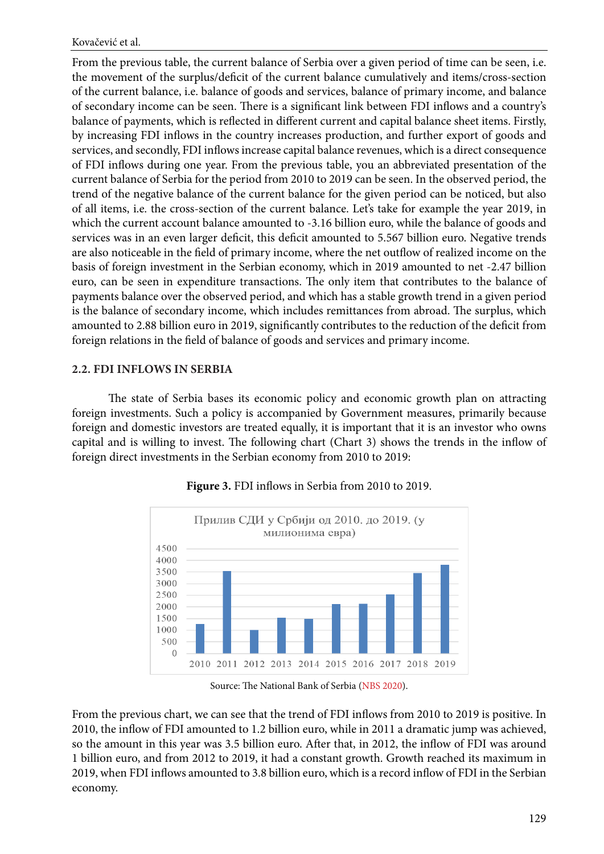From the previous table, the current balance of Serbia over a given period of time can be seen, i.e. the movement of the surplus/deficit of the current balance cumulatively and items/cross-section of the current balance, i.e. balance of goods and services, balance of primary income, and balance of secondary income can be seen. There is a significant link between FDI inflows and a country's balance of payments, which is reflected in different current and capital balance sheet items. Firstly, by increasing FDI inflows in the country increases production, and further export of goods and services, and secondly, FDI inflows increase capital balance revenues, which is a direct consequence of FDI inflows during one year. From the previous table, you an abbreviated presentation of the current balance of Serbia for the period from 2010 to 2019 can be seen. In the observed period, the trend of the negative balance of the current balance for the given period can be noticed, but also of all items, i.e. the cross-section of the current balance. Let's take for example the year 2019, in which the current account balance amounted to -3.16 billion euro, while the balance of goods and services was in an even larger deficit, this deficit amounted to 5.567 billion euro. Negative trends are also noticeable in the field of primary income, where the net outflow of realized income on the basis of foreign investment in the Serbian economy, which in 2019 amounted to net -2.47 billion euro, can be seen in expenditure transactions. The only item that contributes to the balance of payments balance over the observed period, and which has a stable growth trend in a given period is the balance of secondary income, which includes remittances from abroad. The surplus, which amounted to 2.88 billion euro in 2019, significantly contributes to the reduction of the deficit from foreign relations in the field of balance of goods and services and primary income.

# **2.2. FDI INFLOWS IN SERBIA**

The state of Serbia bases its economic policy and economic growth plan on attracting foreign investments. Such a policy is accompanied by Government measures, primarily because foreign and domestic investors are treated equally, it is important that it is an investor who owns capital and is willing to invest. The following chart (Chart 3) shows the trends in the inflow of foreign direct investments in the Serbian economy from 2010 to 2019:



**Figure 3.** FDI inflows in Serbia from 2010 to 2019.

Source: The National Bank of Serbia ([NBS 2020](#page-18-0)).

From the previous chart, we can see that the trend of FDI inflows from 2010 to 2019 is positive. In 2010, the inflow of FDI amounted to 1.2 billion euro, while in 2011 a dramatic jump was achieved, so the amount in this year was 3.5 billion euro. After that, in 2012, the inflow of FDI was around 1 billion euro, and from 2012 to 2019, it had a constant growth. Growth reached its maximum in 2019, when FDI inflows amounted to 3.8 billion euro, which is a record inflow of FDI in the Serbian economy.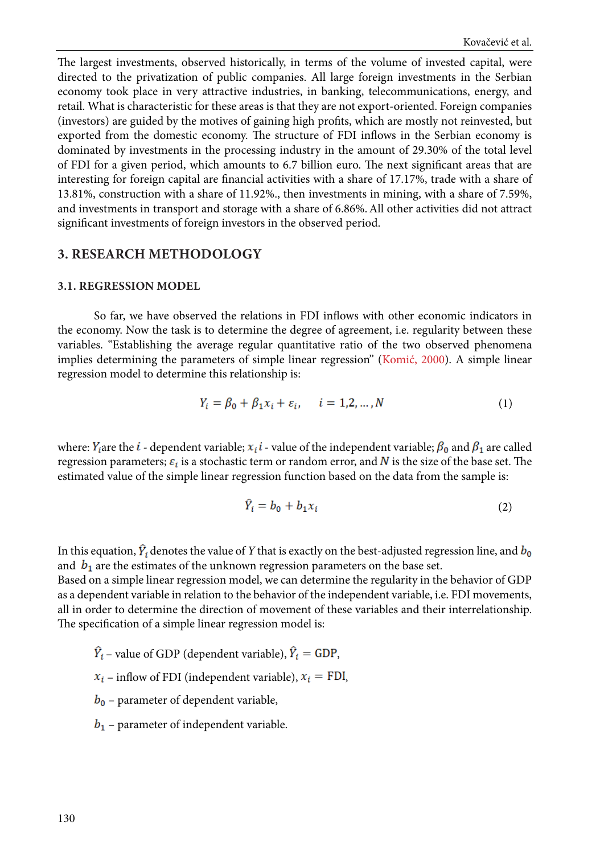The largest investments, observed historically, in terms of the volume of invested capital, were directed to the privatization of public companies. All large foreign investments in the Serbian economy took place in very attractive industries, in banking, telecommunications, energy, and retail. What is characteristic for these areas is that they are not export-oriented. Foreign companies (investors) are guided by the motives of gaining high profits, which are mostly not reinvested, but exported from the domestic economy. The structure of FDI inflows in the Serbian economy is dominated by investments in the processing industry in the amount of 29.30% of the total level of FDI for a given period, which amounts to 6.7 billion euro. The next significant areas that are interesting for foreign capital are financial activities with a share of 17.17%, trade with a share of 13.81%, construction with a share of 11.92%., then investments in mining, with a share of 7.59%, and investments in transport and storage with a share of 6.86%.All other activities did not attract significant investments of foreign investors in the observed period.

#### **3. RESEARCH METHODOLOGY**

#### **3.1. REGRESSION MODEL**

So far, we have observed the relations in FDI inflows with other economic indicators in the economy. Now the task is to determine the degree of agreement, i.e. regularity between these variables. "Establishing the average regular quantitative ratio of the two observed phenomena implies determining the parameters of simple linear regression" ([Komić, 2000](#page-18-0)). A simple linear regression model to determine this relationship is:

$$
Y_i = \beta_0 + \beta_1 x_i + \varepsilon_i, \qquad i = 1, 2, \dots, N
$$
 (1)

where:  $Y_i$  are the  $i$  - dependent variable;  $x_i$   $i$  - value of the independent variable;  $\beta_0$  and  $\beta_1$  are called regression parameters;  $\varepsilon_i$  is a stochastic term or random error, and N is the size of the base set. The estimated value of the simple linear regression function based on the data from the sample is:

$$
\hat{Y}_i = b_0 + b_1 x_i \tag{2}
$$

In this equation,  $\hat{Y}_i$  denotes the value of *Y* that is exactly on the best-adjusted regression line, and  $b_0$ and  $b_1$  are the estimates of the unknown regression parameters on the base set. Based on a simple linear regression model, we can determine the regularity in the behavior of GDP

as a dependent variable in relation to the behavior of the independent variable, i.e. FDI movements, all in order to determine the direction of movement of these variables and their interrelationship. The specification of a simple linear regression model is:

- $\hat{Y}_i$  value of GDP (dependent variable),  $\hat{Y}_i$  = GDP,
- $x_i$  inflow of FDI (independent variable),  $x_i$  = FDI,
- $b_0$  parameter of dependent variable,
- $b_1$  parameter of independent variable.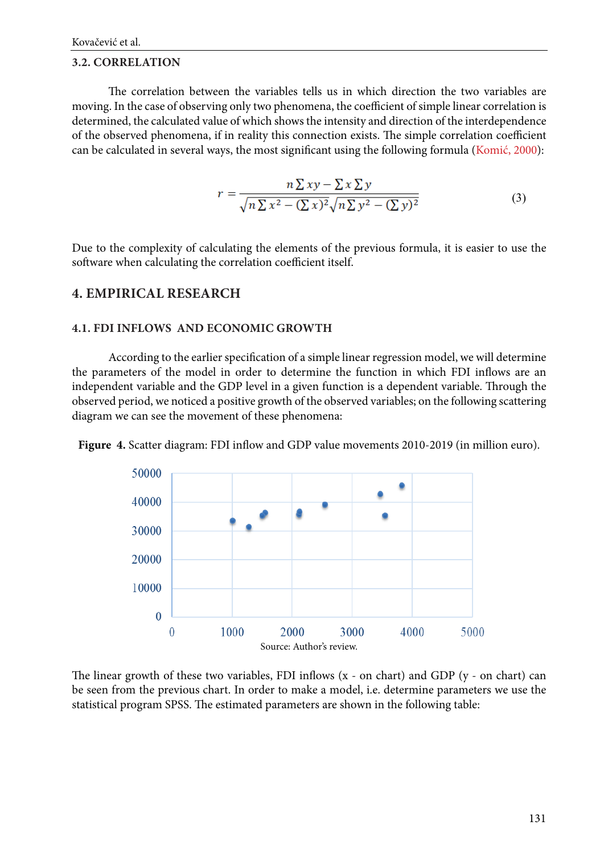#### **3.2. CORRELATION**

The correlation between the variables tells us in which direction the two variables are moving. In the case of observing only two phenomena, the coefficient of simple linear correlation is determined, the calculated value of which shows the intensity and direction of the interdependence of the observed phenomena, if in reality this connection exists. The simple correlation coefficient can be calculated in several ways, the most significant using the following formula [\(Komić, 2000](#page-18-0)):

$$
r = \frac{n\sum xy - \sum x\sum y}{\sqrt{n\sum x^2 - (\sum x)^2} \sqrt{n\sum y^2 - (\sum y)^2}}
$$
(3)

Due to the complexity of calculating the elements of the previous formula, it is easier to use the software when calculating the correlation coefficient itself.

# **4. EMPIRICAL RESEARCH**

#### **4.1. FDI INFLOWS AND ECONOMIC GROWTH**

According to the earlier specification of a simple linear regression model, we will determine the parameters of the model in order to determine the function in which FDI inflows are an independent variable and the GDP level in a given function is a dependent variable. Through the observed period, we noticed a positive growth of the observed variables; on the following scattering diagram we can see the movement of these phenomena:





The linear growth of these two variables, FDI inflows (x - on chart) and GDP (y - on chart) can be seen from the previous chart. In order to make a model, i.e. determine parameters we use the statistical program SPSS. The estimated parameters are shown in the following table: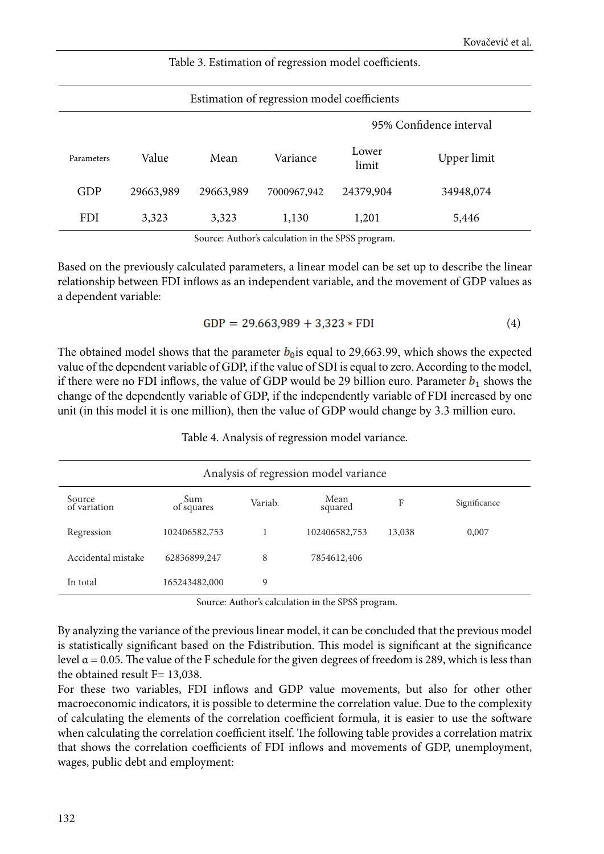| Estimation of regression model coefficients |           |           |             |                |             |  |
|---------------------------------------------|-----------|-----------|-------------|----------------|-------------|--|
| 95% Confidence interval                     |           |           |             |                |             |  |
| Parameters                                  | Value     | Mean      | Variance    | Lower<br>limit | Upper limit |  |
| GDP                                         | 29663,989 | 29663,989 | 7000967,942 | 24379,904      | 34948,074   |  |
| <b>FDI</b>                                  | 3,323     | 3,323     | 1,130       | 1,201          | 5,446       |  |

Table 3. Estimation of regression model coefficients.

Source: Author's calculation in the SPSS program.

Based on the previously calculated parameters, a linear model can be set up to describe the linear relationship between FDI inflows as an independent variable, and the movement of GDP values as a dependent variable:

$$
GDP = 29.663,989 + 3,323 * FDI
$$
 (4)

The obtained model shows that the parameter  $b_0$  is equal to 29,663.99, which shows the expected value of the dependent variable of GDP, if the value of SDI is equal to zero. According to the model, if there were no FDI inflows, the value of GDP would be 29 billion euro. Parameter  $b_1$  shows the change of the dependently variable of GDP, if the independently variable of FDI increased by one unit (in this model it is one million), then the value of GDP would change by 3.3 million euro.

#### Таble 4. Analysis of regression model variance.

| Analysis of regression model variance |                   |         |                 |        |              |  |  |
|---------------------------------------|-------------------|---------|-----------------|--------|--------------|--|--|
| Source<br>of variation                | Sum<br>of squares | Variab. | Mean<br>squared | F      | Significance |  |  |
| Regression                            | 102406582,753     |         | 102406582,753   | 13,038 | 0,007        |  |  |
| Accidental mistake                    | 62836899,247      | 8       | 7854612,406     |        |              |  |  |
| In total                              | 165243482,000     | 9       |                 |        |              |  |  |

Source: Author's calculation in the SPSS program.

By analyzing the variance of the previous linear model, it can be concluded that the previous model is statistically significant based on the Fdistribution. This model is significant at the significance level  $α = 0.05$ . The value of the F schedule for the given degrees of freedom is 289, which is less than the obtained result  $F= 13,038$ .

For these two variables, FDI inflows and GDP value movements, but also for other other macroeconomic indicators, it is possible to determine the correlation value. Due to the complexity of calculating the elements of the correlation coefficient formula, it is easier to use the software when calculating the correlation coefficient itself. The following table provides a correlation matrix that shows the correlation coefficients of FDI inflows and movements of GDP, unemployment, wages, public debt and employment: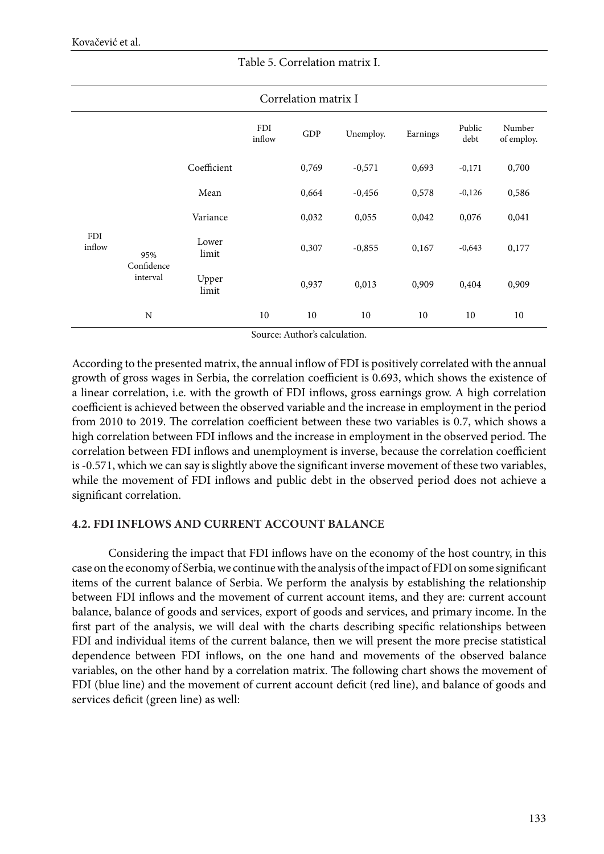|                      | Correlation matrix I          |                |               |       |           |          |                |                      |
|----------------------|-------------------------------|----------------|---------------|-------|-----------|----------|----------------|----------------------|
|                      |                               |                | FDI<br>inflow | GDP   | Unemploy. | Earnings | Public<br>debt | Number<br>of employ. |
|                      |                               | Coefficient    |               | 0,769 | $-0,571$  | 0,693    | $-0,171$       | 0,700                |
|                      |                               | Mean           |               | 0,664 | $-0,456$  | 0,578    | $-0,126$       | 0,586                |
|                      | 95%<br>Confidence<br>interval | Variance       |               | 0,032 | 0,055     | 0,042    | 0,076          | 0,041                |
| <b>FDI</b><br>inflow |                               | Lower<br>limit |               | 0,307 | $-0,855$  | 0,167    | $-0,643$       | 0,177                |
|                      |                               | Upper<br>limit |               | 0,937 | 0,013     | 0,909    | 0,404          | 0,909                |
|                      | N                             |                | 10            | 10    | 10        | 10       | 10             | 10                   |

#### Тable 5. Correlation matrix I.

Source: Author's calculation.

According to the presented matrix, the annual inflow of FDI is positively correlated with the annual growth of gross wages in Serbia, the correlation coefficient is 0.693, which shows the existence of a linear correlation, i.e. with the growth of FDI inflows, gross earnings grow. A high correlation coefficient is achieved between the observed variable and the increase in employment in the period from 2010 to 2019. The correlation coefficient between these two variables is 0.7, which shows a high correlation between FDI inflows and the increase in employment in the observed period. The correlation between FDI inflows and unemployment is inverse, because the correlation coefficient is -0.571, which we can say is slightly above the significant inverse movement of these two variables, while the movement of FDI inflows and public debt in the observed period does not achieve a significant correlation.

#### **4.2. FDI INFLOWS AND CURRENT ACCOUNT BALANCE**

Considering the impact that FDI inflows have on the economy of the host country, in this case on the economy of Serbia, we continue with the analysis of the impact of FDI on some significant items of the current balance of Serbia. We perform the analysis by establishing the relationship between FDI inflows and the movement of current account items, and they are: current account balance, balance of goods and services, export of goods and services, and primary income. In the first part of the analysis, we will deal with the charts describing specific relationships between FDI and individual items of the current balance, then we will present the more precise statistical dependence between FDI inflows, on the one hand and movements of the observed balance variables, on the other hand by a correlation matrix. The following chart shows the movement of FDI (blue line) and the movement of current account deficit (red line), and balance of goods and services deficit (green line) as well: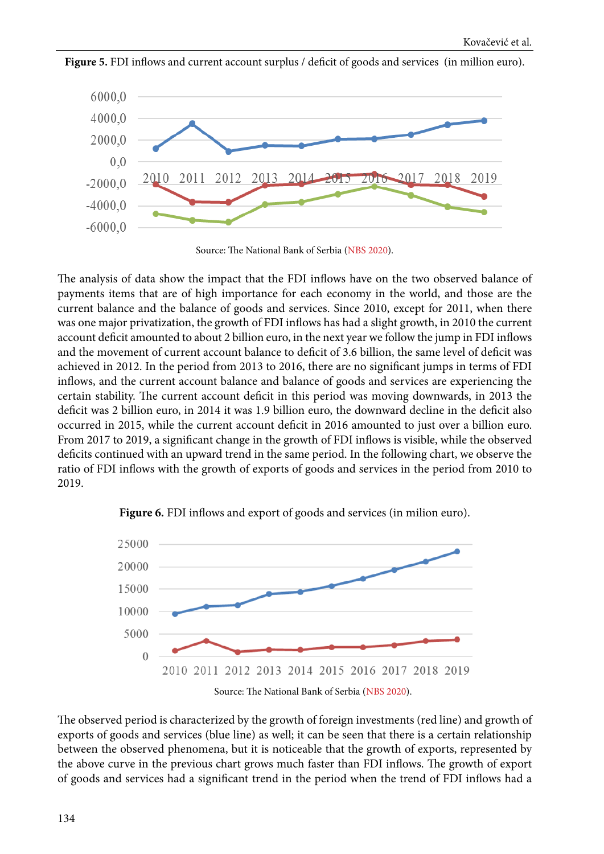

Figure 5. FDI inflows and current account surplus / deficit of goods and services (in million euro).

Source: The National Bank of Serbia ([NBS 2020](#page-18-0)).

The analysis of data show the impact that the FDI inflows have on the two observed balance of payments items that are of high importance for each economy in the world, and those are the current balance and the balance of goods and services. Since 2010, except for 2011, when there was one major privatization, the growth of FDI inflows has had a slight growth, in 2010 the current account deficit amounted to about 2 billion euro, in the next year we follow the jump in FDI inflows and the movement of current account balance to deficit of 3.6 billion, the same level of deficit was achieved in 2012. In the period from 2013 to 2016, there are no significant jumps in terms of FDI inflows, and the current account balance and balance of goods and services are experiencing the certain stability. The current account deficit in this period was moving downwards, in 2013 the deficit was 2 billion euro, in 2014 it was 1.9 billion euro, the downward decline in the deficit also occurred in 2015, while the current account deficit in 2016 amounted to just over a billion euro. From 2017 to 2019, a significant change in the growth of FDI inflows is visible, while the observed deficits continued with an upward trend in the same period. In the following chart, we observe the ratio of FDI inflows with the growth of exports of goods and services in the period from 2010 to 2019.



**Figure 6.** FDI inflows and export of goods and services (in milion euro).

The observed period is characterized by the growth of foreign investments (red line) and growth of exports of goods and services (blue line) as well; it can be seen that there is a certain relationship between the observed phenomena, but it is noticeable that the growth of exports, represented by the above curve in the previous chart grows much faster than FDI inflows. The growth of export of goods and services had a significant trend in the period when the trend of FDI inflows had a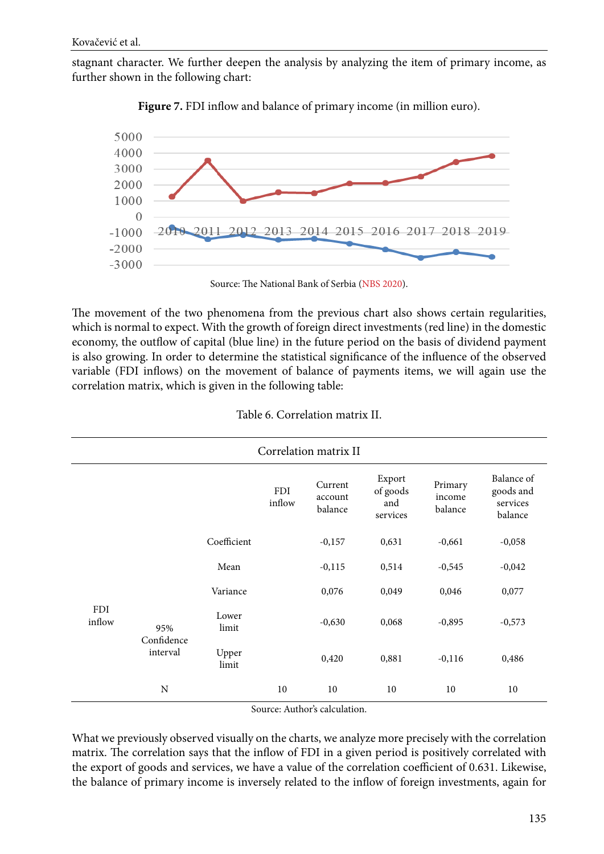stagnant character. We further deepen the analysis by analyzing the item of primary income, as further shown in the following chart:





Source: The National Bank of Serbia ([NBS 2020](#page-18-0)).

The movement of the two phenomena from the previous chart also shows certain regularities, which is normal to expect. With the growth of foreign direct investments (red line) in the domestic economy, the outflow of capital (blue line) in the future period on the basis of dividend payment is also growing. In order to determine the statistical significance of the influence of the observed variable (FDI inflows) on the movement of balance of payments items, we will again use the correlation matrix, which is given in the following table:

| Correlation matrix II |                               |                |                      |                               |                                       |                              |                                                |
|-----------------------|-------------------------------|----------------|----------------------|-------------------------------|---------------------------------------|------------------------------|------------------------------------------------|
|                       |                               |                | <b>FDI</b><br>inflow | Current<br>account<br>balance | Export<br>of goods<br>and<br>services | Primary<br>income<br>balance | Balance of<br>goods and<br>services<br>balance |
|                       |                               | Coefficient    |                      | $-0,157$                      | 0,631                                 | $-0,661$                     | $-0,058$                                       |
|                       |                               | Mean           |                      | $-0,115$                      | 0,514                                 | $-0,545$                     | $-0,042$                                       |
|                       |                               | Variance       |                      | 0,076                         | 0,049                                 | 0,046                        | 0,077                                          |
| <b>FDI</b><br>inflow  | 95%<br>Confidence<br>interval | Lower<br>limit |                      | $-0,630$                      | 0,068                                 | $-0,895$                     | $-0,573$                                       |
|                       |                               | Upper<br>limit |                      | 0,420                         | 0,881                                 | $-0,116$                     | 0,486                                          |
|                       | N                             |                | 10                   | 10                            | 10                                    | 10                           | 10                                             |

|  | Table 6. Correlation matrix II. |  |
|--|---------------------------------|--|
|--|---------------------------------|--|

Source: Author's calculation.

What we previously observed visually on the charts, we analyze more precisely with the correlation matrix. The correlation says that the inflow of FDI in a given period is positively correlated with the export of goods and services, we have a value of the correlation coefficient of 0.631. Likewise, the balance of primary income is inversely related to the inflow of foreign investments, again for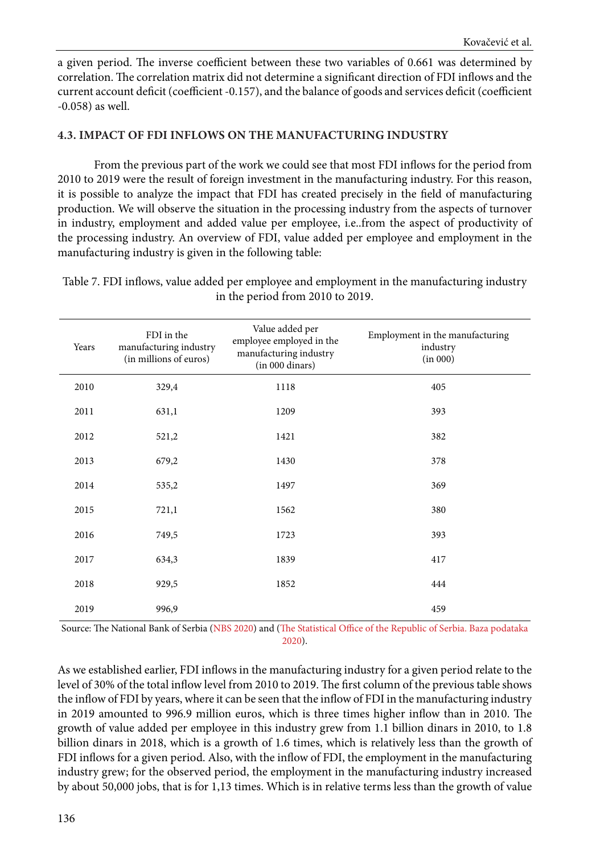a given period. The inverse coefficient between these two variables of 0.661 was determined by correlation. The correlation matrix did not determine a significant direction of FDI inflows and the current account deficit (coefficient -0.157), and the balance of goods and services deficit (coefficient -0.058) as well.

### **4.3. IMPACT OF FDI INFLOWS ON THE MANUFACTURING INDUSTRY**

From the previous part of the work we could see that most FDI inflows for the period from 2010 to 2019 were the result of foreign investment in the manufacturing industry. For this reason, it is possible to analyze the impact that FDI has created precisely in the field of manufacturing production. We will observe the situation in the processing industry from the aspects of turnover in industry, employment and added value per employee, i.e..from the aspect of productivity of the processing industry. An overview of FDI, value added per employee and employment in the manufacturing industry is given in the following table:

Таble 7. FDI inflows, value added per employee and employment in the manufacturing industry in the period from 2010 to 2019.

| Years | FDI in the<br>manufacturing industry<br>(in millions of euros) | Value added per<br>employee employed in the<br>manufacturing industry<br>(in 000 dinars) | Employment in the manufacturing<br>industry<br>(in 000) |
|-------|----------------------------------------------------------------|------------------------------------------------------------------------------------------|---------------------------------------------------------|
| 2010  | 329,4                                                          | 1118                                                                                     | 405                                                     |
| 2011  | 631,1                                                          | 1209                                                                                     | 393                                                     |
| 2012  | 521,2                                                          | 1421                                                                                     | 382                                                     |
| 2013  | 679,2                                                          | 1430                                                                                     | 378                                                     |
| 2014  | 535,2                                                          | 1497                                                                                     | 369                                                     |
| 2015  | 721,1                                                          | 1562                                                                                     | 380                                                     |
| 2016  | 749,5                                                          | 1723                                                                                     | 393                                                     |
| 2017  | 634,3                                                          | 1839                                                                                     | 417                                                     |
| 2018  | 929,5                                                          | 1852                                                                                     | 444                                                     |
| 2019  | 996,9                                                          |                                                                                          | 459                                                     |

Source: The National Bank of Serbia [\(NBS 2020\)](#page-18-0) and [\(The Statistical Office of the Republic of Serbia. Baza podataka](#page-18-0)  [2020](#page-18-0)).

As we established earlier, FDI inflows in the manufacturing industry for a given period relate to the level of 30% of the total inflow level from 2010 to 2019. The first column of the previous table shows the inflow of FDI by years, where it can be seen that the inflow of FDI in the manufacturing industry in 2019 amounted to 996.9 million euros, which is three times higher inflow than in 2010. The growth of value added per employee in this industry grew from 1.1 billion dinars in 2010, to 1.8 billion dinars in 2018, which is a growth of 1.6 times, which is relatively less than the growth of FDI inflows for a given period. Also, with the inflow of FDI, the employment in the manufacturing industry grew; for the observed period, the employment in the manufacturing industry increased by about 50,000 jobs, that is for 1,13 times. Which is in relative terms less than the growth of value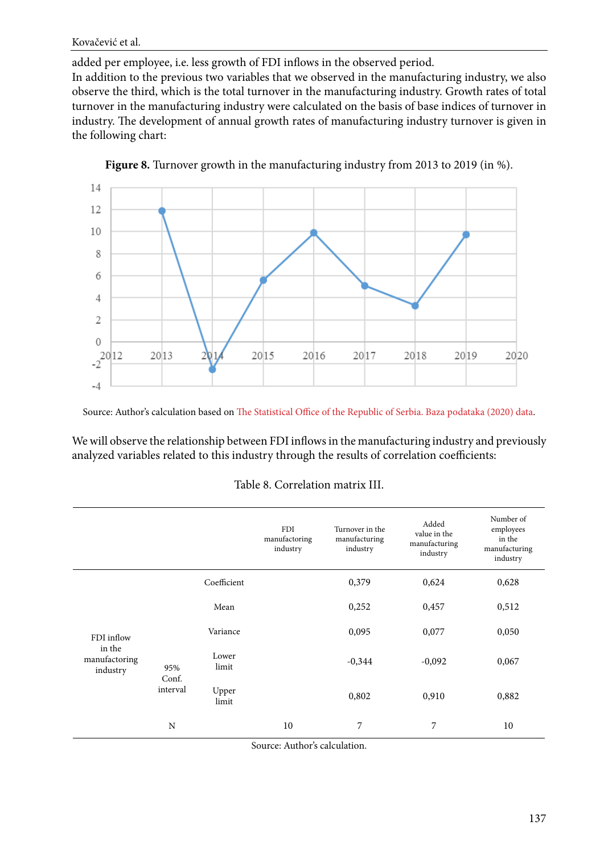Kovačević et al.

added per employee, i.e. less growth of FDI inflows in the observed period. In addition to the previous two variables that we observed in the manufacturing industry, we also observe the third, which is the total turnover in the manufacturing industry. Growth rates of total turnover in the manufacturing industry were calculated on the basis of base indices of turnover in industry. The development of annual growth rates of manufacturing industry turnover is given in the following chart:



**Figure 8.** Turnover growth in the manufacturing industry from 2013 to 2019 (in %).

Source: Author's calculation based on [The Statistical Office of the Republic of Serbia. Baza podataka \(2020\) data.](#page-18-0)

We will observe the relationship between FDI inflows in the manufacturing industry and previously analyzed variables related to this industry through the results of correlation coefficients:

|                                     |                          |                | <b>FDI</b><br>manufactoring<br>industry | Turnover in the<br>manufacturing<br>industry | Added<br>value in the<br>manufacturing<br>industry | Number of<br>employees<br>in the<br>manufacturing<br>industry |
|-------------------------------------|--------------------------|----------------|-----------------------------------------|----------------------------------------------|----------------------------------------------------|---------------------------------------------------------------|
|                                     |                          | Coefficient    |                                         | 0,379                                        | 0,624                                              | 0,628                                                         |
|                                     |                          | Mean           |                                         | 0,252                                        | 0,457                                              | 0,512                                                         |
| FDI inflow                          | 95%<br>Conf.<br>interval | Variance       |                                         | 0,095                                        | 0,077                                              | 0,050                                                         |
| in the<br>manufactoring<br>industry |                          | Lower<br>limit |                                         | $-0,344$                                     | $-0,092$                                           | 0,067                                                         |
|                                     |                          | Upper<br>limit |                                         | 0,802                                        | 0,910                                              | 0,882                                                         |
|                                     | N                        |                | 10                                      | 7                                            | 7                                                  | 10                                                            |

Source: Author's calculation.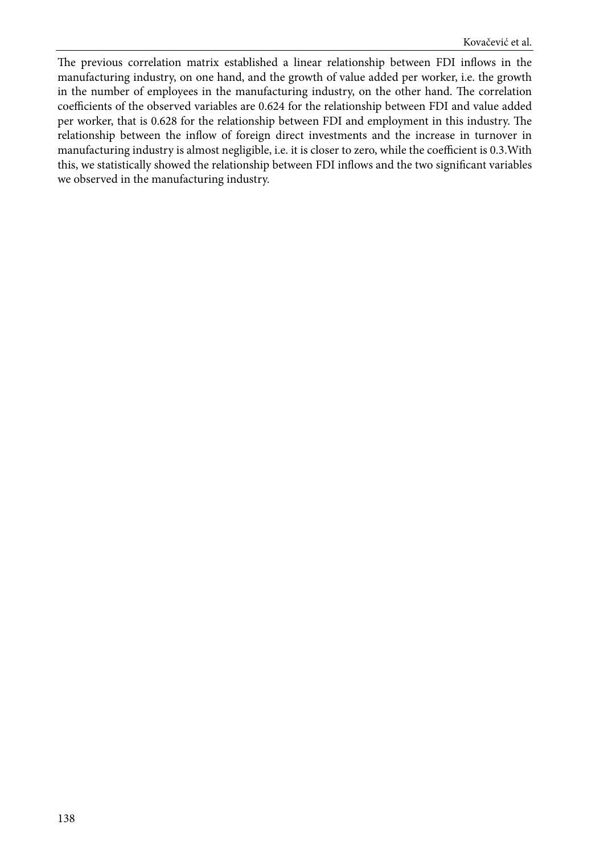The previous correlation matrix established a linear relationship between FDI inflows in the manufacturing industry, on one hand, and the growth of value added per worker, i.e. the growth in the number of employees in the manufacturing industry, on the other hand. The correlation coefficients of the observed variables are 0.624 for the relationship between FDI and value added per worker, that is 0.628 for the relationship between FDI and employment in this industry. The relationship between the inflow of foreign direct investments and the increase in turnover in manufacturing industry is almost negligible, i.e. it is closer to zero, while the coefficient is 0.3.With this, we statistically showed the relationship between FDI inflows and the two significant variables we observed in the manufacturing industry.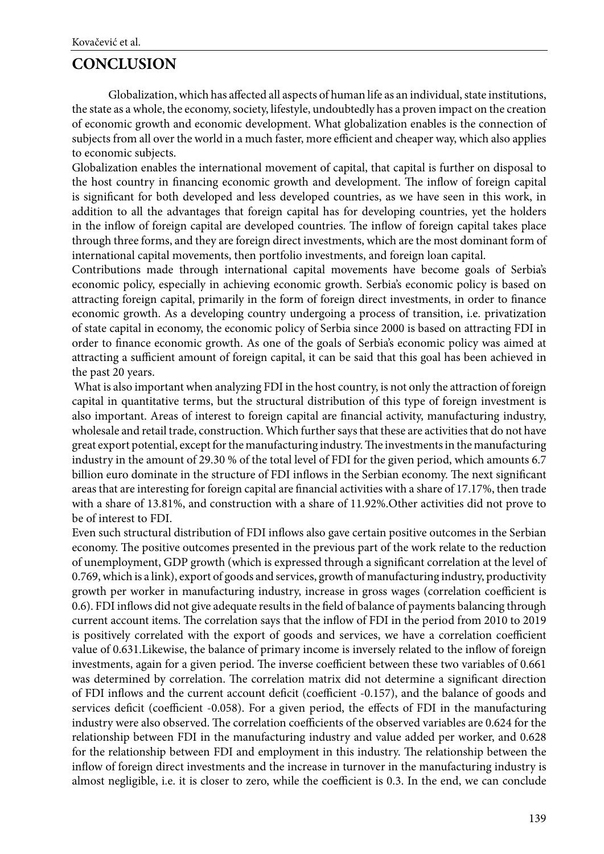# **CONCLUSION**

Globalization, which has affected all aspects of human life as an individual, state institutions, the state as a whole, the economy, society, lifestyle, undoubtedly has a proven impact on the creation of economic growth and economic development. What globalization enables is the connection of subjects from all over the world in a much faster, more efficient and cheaper way, which also applies to economic subjects.

Globalization enables the international movement of capital, that capital is further on disposal to the host country in financing economic growth and development. The inflow of foreign capital is significant for both developed and less developed countries, as we have seen in this work, in addition to all the advantages that foreign capital has for developing countries, yet the holders in the inflow of foreign capital are developed countries. The inflow of foreign capital takes place through three forms, and they are foreign direct investments, which are the most dominant form of international capital movements, then portfolio investments, and foreign loan capital.

Contributions made through international capital movements have become goals of Serbia's economic policy, especially in achieving economic growth. Serbia's economic policy is based on attracting foreign capital, primarily in the form of foreign direct investments, in order to finance economic growth. As a developing country undergoing a process of transition, i.e. privatization of state capital in economy, the economic policy of Serbia since 2000 is based on attracting FDI in order to finance economic growth. As one of the goals of Serbia's economic policy was aimed at attracting a sufficient amount of foreign capital, it can be said that this goal has been achieved in the past 20 years.

 What is also important when analyzing FDI in the host country, is not only the attraction of foreign capital in quantitative terms, but the structural distribution of this type of foreign investment is also important. Areas of interest to foreign capital are financial activity, manufacturing industry, wholesale and retail trade, construction. Which further says that these are activities that do not have great export potential, except for the manufacturing industry. The investments in the manufacturing industry in the amount of 29.30 % of the total level of FDI for the given period, which amounts 6.7 billion euro dominate in the structure of FDI inflows in the Serbian economy. The next significant areas that are interesting for foreign capital are financial activities with a share of 17.17%, then trade with a share of 13.81%, and construction with a share of 11.92%.Other activities did not prove to be of interest to FDI.

Even such structural distribution of FDI inflows also gave certain positive outcomes in the Serbian economy. The positive outcomes presented in the previous part of the work relate to the reduction of unemployment, GDP growth (which is expressed through a significant correlation at the level of 0.769, which is a link), export of goods and services, growth of manufacturing industry, productivity growth per worker in manufacturing industry, increase in gross wages (correlation coefficient is 0.6). FDI inflows did not give adequate results in the field of balance of payments balancing through current account items. The correlation says that the inflow of FDI in the period from 2010 to 2019 is positively correlated with the export of goods and services, we have a correlation coefficient value of 0.631.Likewise, the balance of primary income is inversely related to the inflow of foreign investments, again for a given period. The inverse coefficient between these two variables of 0.661 was determined by correlation. The correlation matrix did not determine a significant direction of FDI inflows and the current account deficit (coefficient -0.157), and the balance of goods and services deficit (coefficient -0.058). For a given period, the effects of FDI in the manufacturing industry were also observed. The correlation coefficients of the observed variables are 0.624 for the relationship between FDI in the manufacturing industry and value added per worker, and 0.628 for the relationship between FDI and employment in this industry. The relationship between the inflow of foreign direct investments and the increase in turnover in the manufacturing industry is almost negligible, i.e. it is closer to zero, while the coefficient is 0.3. In the end, we can conclude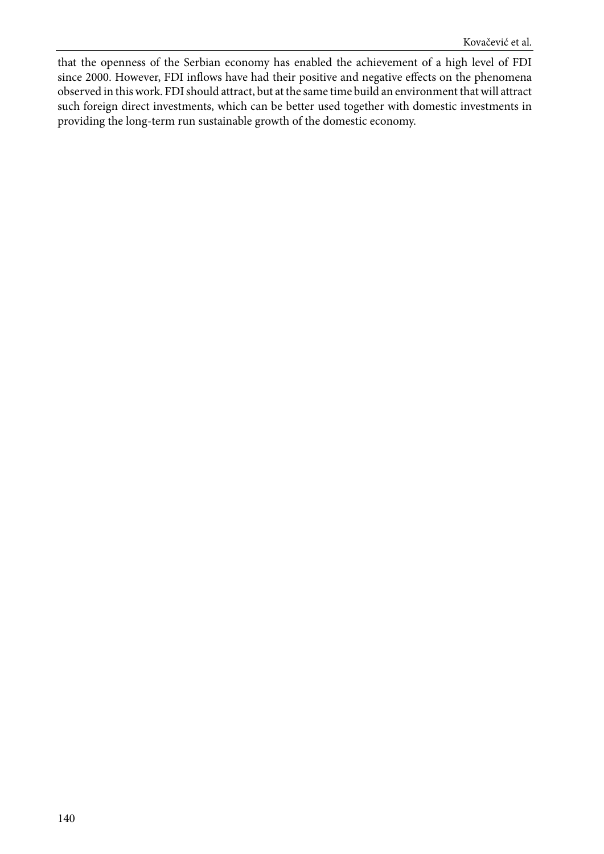that the openness of the Serbian economy has enabled the achievement of a high level of FDI since 2000. However, FDI inflows have had their positive and negative effects on the phenomena observed in this work. FDI should attract, but at the same time build an environment that will attract such foreign direct investments, which can be better used together with domestic investments in providing the long-term run sustainable growth of the domestic economy.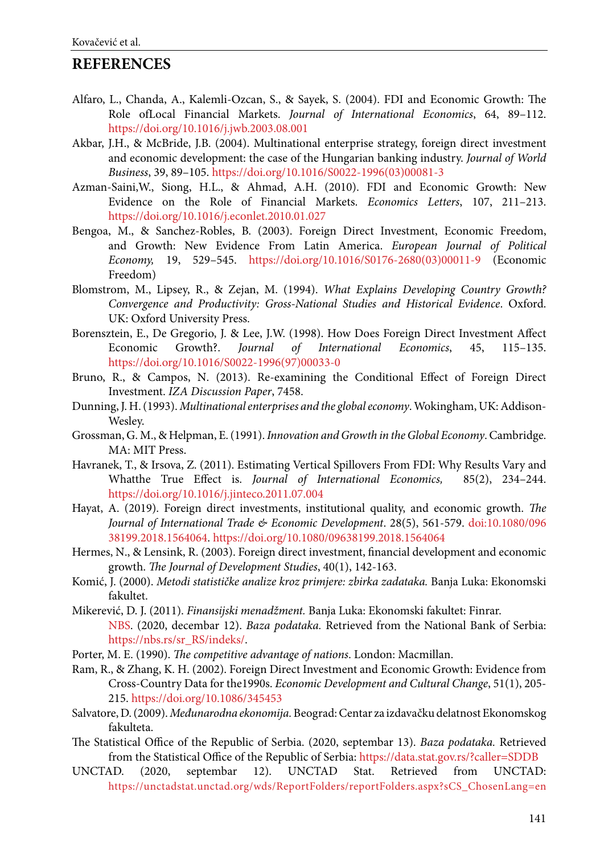# <span id="page-18-0"></span>**REFERENCES**

- Alfaro, L., Chanda, A., Kalemli-Ozcan, S., & Sayek, S. (2004). FDI and Economic Growth: The Role ofLocal Financial Markets. *Journal of International Economics*, 64, 89–112. https://doi.org/10.1016/j.jwb.2003.08.001
- Akbar, J.H., & McBride, J.B. (2004). Multinational enterprise strategy, foreign direct investment and economic development: the case of the Hungarian banking industry. *Journal of World Business*, 39, 89–105. https://doi.org/10.1016/S0022-1996(03)00081-3
- Azman-Saini,W., Siong, H.L., & Ahmad, A.H. (2010). FDI and Economic Growth: New Evidence on the Role of Financial Markets. *Economics Letters*, 107, 211–213. https://doi.org/10.1016/j.econlet.2010.01.027
- Bengoa, M., & Sanchez-Robles, B. (2003). Foreign Direct Investment, Economic Freedom, and Growth: New Evidence From Latin America. *European Journal of Political Economy,* 19, 529–545. https://doi.org/10.1016/S0176-2680(03)00011-9 (Economic Freedom)
- Blomstrom, M., Lipsey, R., & Zejan, M. (1994). *What Explains Developing Country Growth? Convergence and Productivity: Gross-National Studies and Historical Evidence*. Oxford. UK: Oxford University Press.
- Borensztein, E., De Gregorio, J. & Lee, J.W. (1998). How Does Foreign Direct Investment Affect Economic Growth?. *Journal of International Economics*, 45, 115–135. https://doi.org/10.1016/S0022-1996(97)00033-0
- Bruno, R., & Campos, N. (2013). Re-examining the Conditional Effect of Foreign Direct Investment. *IZA Discussion Paper*, 7458.
- Dunning, J. H. (1993). *Multinational enterprises and the global economy*. Wokingham, UK: Addison-Wesley.
- Grossman, G. M., & Helpman, E. (1991). *Innovation and Growth in the Global Economy*. Cambridge. MA: MIT Press.
- Havranek, T., & Irsova, Z. (2011). Estimating Vertical Spillovers From FDI: Why Results Vary and Whatthe True Effect is. *Journal of International Economics,* 85(2), 234–244. https://doi.org/10.1016/j.jinteco.2011.07.004
- Hayat, A. (2019). Foreign direct investments, institutional quality, and economic growth. *The Journal of International Trade & Economic Development*. 28(5), 561-579. doi:10.1080/096 38199.2018.1564064. https://doi.org/10.1080/09638199.2018.1564064
- Hermes, N., & Lensink, R. (2003). Foreign direct investment, financial development and economic growth. *The Journal of Development Studies*, 40(1), 142-163.
- Komić, J. (2000). *Metodi statističke analize kroz primjere: zbirka zadataka.* Banja Luka: Ekonomski fakultet.
- Mikerević, D. J. (2011). *Finansijski menadžment.* Banja Luka: Ekonomski fakultet: Finrar. NBS. (2020, decembar 12). *Baza podataka.* Retrieved from the National Bank of Serbia: [https://nbs.rs/sr\\_RS/indeks/](https://nbs.rs/sr_RS/indeks/).
- Porter, M. E. (1990). *The competitive advantage of nations*. London: Macmillan.
- Ram, R., & Zhang, K. H. (2002). Foreign Direct Investment and Economic Growth: Evidence from Cross‐Country Data for the1990s. *Economic Development and Cultural Change*, 51(1), 205- 215. https://doi.org/10.1086/345453
- Salvatore, D. (2009). *Međunarodna ekonomija.* Beograd: Centar za izdavačku delatnost Ekonomskog fakulteta.
- The Statistical Office of the Republic of Serbia. (2020, septembar 13). *Baza podataka.* Retrieved from the Statistical Office of the Republic of Serbia: https://data.stat.gov.rs/?caller=SDDB
- UNCTAD. (2020, septembar 12). UNCTAD Stat. Retrieved from UNCTAD: https://unctadstat.unctad.org/wds/ReportFolders/reportFolders.aspx?sCS\_ChosenLang=en